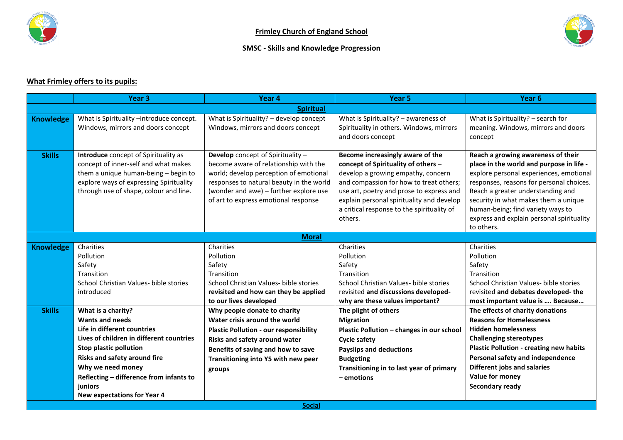

## **SMSC - Skills and Knowledge Progression**



## **What Frimley offers to its pupils:**

|                  | Year <sub>3</sub>                                                                                                                                                                                                                                                                                  | Year 4                                                                                                                                                                                                                                             | Year <sub>5</sub>                                                                                                                                                                                                                                                                                          | Year <sub>6</sub>                                                                                                                                                                                                                                                                                                                                  |  |  |  |
|------------------|----------------------------------------------------------------------------------------------------------------------------------------------------------------------------------------------------------------------------------------------------------------------------------------------------|----------------------------------------------------------------------------------------------------------------------------------------------------------------------------------------------------------------------------------------------------|------------------------------------------------------------------------------------------------------------------------------------------------------------------------------------------------------------------------------------------------------------------------------------------------------------|----------------------------------------------------------------------------------------------------------------------------------------------------------------------------------------------------------------------------------------------------------------------------------------------------------------------------------------------------|--|--|--|
| <b>Spiritual</b> |                                                                                                                                                                                                                                                                                                    |                                                                                                                                                                                                                                                    |                                                                                                                                                                                                                                                                                                            |                                                                                                                                                                                                                                                                                                                                                    |  |  |  |
| <b>Knowledge</b> | What is Spirituality -introduce concept.<br>Windows, mirrors and doors concept                                                                                                                                                                                                                     | What is Spirituality? - develop concept<br>Windows, mirrors and doors concept                                                                                                                                                                      | What is Spirituality? - awareness of<br>Spirituality in others. Windows, mirrors<br>and doors concept                                                                                                                                                                                                      | What is Spirituality? - search for<br>meaning. Windows, mirrors and doors<br>concept                                                                                                                                                                                                                                                               |  |  |  |
| <b>Skills</b>    | Introduce concept of Spirituality as<br>concept of inner-self and what makes<br>them a unique human-being - begin to<br>explore ways of expressing Spirituality<br>through use of shape, colour and line.                                                                                          | Develop concept of Spirituality -<br>become aware of relationship with the<br>world; develop perception of emotional<br>responses to natural beauty in the world<br>(wonder and awe) - further explore use<br>of art to express emotional response | Become increasingly aware of the<br>concept of Spirituality of others -<br>develop a growing empathy, concern<br>and compassion for how to treat others;<br>use art, poetry and prose to express and<br>explain personal spirituality and develop<br>a critical response to the spirituality of<br>others. | Reach a growing awareness of their<br>place in the world and purpose in life -<br>explore personal experiences, emotional<br>responses, reasons for personal choices.<br>Reach a greater understanding and<br>security in what makes them a unique<br>human-being; find variety ways to<br>express and explain personal spirituality<br>to others. |  |  |  |
|                  | <b>Moral</b>                                                                                                                                                                                                                                                                                       |                                                                                                                                                                                                                                                    |                                                                                                                                                                                                                                                                                                            |                                                                                                                                                                                                                                                                                                                                                    |  |  |  |
| <b>Knowledge</b> | Charities<br>Pollution<br>Safety<br>Transition<br>School Christian Values- bible stories<br>introduced                                                                                                                                                                                             | Charities<br>Pollution<br>Safety<br>Transition<br>School Christian Values- bible stories<br>revisited and how can they be applied<br>to our lives developed                                                                                        | Charities<br>Pollution<br>Safety<br>Transition<br>School Christian Values- bible stories<br>revisited and discussions developed-<br>why are these values important?                                                                                                                                        | Charities<br>Pollution<br>Safety<br>Transition<br>School Christian Values- bible stories<br>revisited and debates developed-the<br>most important value is  Because                                                                                                                                                                                |  |  |  |
| <b>Skills</b>    | What is a charity?<br><b>Wants and needs</b><br>Life in different countries<br>Lives of children in different countries<br>Stop plastic pollution<br><b>Risks and safety around fire</b><br>Why we need money<br>Reflecting - difference from infants to<br>juniors<br>New expectations for Year 4 | Why people donate to charity<br>Water crisis around the world<br><b>Plastic Pollution - our responsibility</b><br>Risks and safety around water<br>Benefits of saving and how to save<br>Transitioning into Y5 with new peer<br>groups             | The plight of others<br><b>Migration</b><br>Plastic Pollution - changes in our school<br><b>Cycle safety</b><br><b>Payslips and deductions</b><br><b>Budgeting</b><br>Transitioning in to last year of primary<br>- emotions                                                                               | The effects of charity donations<br><b>Reasons for Homelessness</b><br><b>Hidden homelessness</b><br><b>Challenging stereotypes</b><br><b>Plastic Pollution - creating new habits</b><br>Personal safety and independence<br><b>Different jobs and salaries</b><br>Value for money<br>Secondary ready                                              |  |  |  |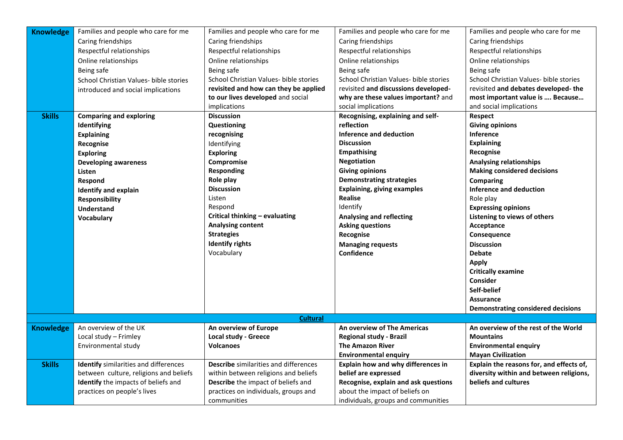| <b>Knowledge</b> | Families and people who care for me    | Families and people who care for me          | Families and people who care for me    | Families and people who care for me       |
|------------------|----------------------------------------|----------------------------------------------|----------------------------------------|-------------------------------------------|
|                  | Caring friendships                     | Caring friendships                           | Caring friendships                     | Caring friendships                        |
|                  | Respectful relationships               | Respectful relationships                     | Respectful relationships               | Respectful relationships                  |
|                  | Online relationships                   | Online relationships                         | Online relationships                   | Online relationships                      |
|                  | Being safe                             | Being safe                                   | Being safe                             | Being safe                                |
|                  | School Christian Values- bible stories | School Christian Values- bible stories       | School Christian Values- bible stories | School Christian Values- bible stories    |
|                  | introduced and social implications     | revisited and how can they be applied        | revisited and discussions developed-   | revisited and debates developed-the       |
|                  |                                        | to our lives developed and social            | why are these values important? and    | most important value is  Because          |
|                  |                                        | implications                                 | social implications                    | and social implications                   |
| <b>Skills</b>    | <b>Comparing and exploring</b>         | <b>Discussion</b>                            | Recognising, explaining and self-      | Respect                                   |
|                  | Identifying                            | Questioning                                  | reflection                             | <b>Giving opinions</b>                    |
|                  | <b>Explaining</b>                      | recognising                                  | <b>Inference and deduction</b>         | Inference                                 |
|                  | Recognise                              | Identifying                                  | <b>Discussion</b>                      | <b>Explaining</b>                         |
|                  | <b>Exploring</b>                       | <b>Exploring</b>                             | <b>Empathising</b>                     | Recognise                                 |
|                  | <b>Developing awareness</b>            | Compromise                                   | <b>Negotiation</b>                     | <b>Analysing relationships</b>            |
|                  | Listen                                 | <b>Responding</b>                            | <b>Giving opinions</b>                 | <b>Making considered decisions</b>        |
|                  | Respond                                | Role play                                    | <b>Demonstrating strategies</b>        | <b>Comparing</b>                          |
|                  | <b>Identify and explain</b>            | <b>Discussion</b>                            | <b>Explaining, giving examples</b>     | <b>Inference and deduction</b>            |
|                  | Responsibility                         | Listen                                       | <b>Realise</b>                         | Role play                                 |
|                  | <b>Understand</b>                      | Respond                                      | Identify                               | <b>Expressing opinions</b>                |
|                  | Vocabulary                             | Critical thinking - evaluating               | <b>Analysing and reflecting</b>        | Listening to views of others              |
|                  |                                        | <b>Analysing content</b>                     | <b>Asking questions</b>                | Acceptance                                |
|                  |                                        | <b>Strategies</b>                            | Recognise                              | Consequence                               |
|                  |                                        | <b>Identify rights</b>                       | <b>Managing requests</b>               | <b>Discussion</b>                         |
|                  |                                        | Vocabulary                                   | <b>Confidence</b>                      | <b>Debate</b>                             |
|                  |                                        |                                              |                                        | <b>Apply</b>                              |
|                  |                                        |                                              |                                        | <b>Critically examine</b>                 |
|                  |                                        |                                              |                                        | Consider                                  |
|                  |                                        |                                              |                                        | Self-belief                               |
|                  |                                        |                                              |                                        | <b>Assurance</b>                          |
|                  |                                        |                                              |                                        | <b>Demonstrating considered decisions</b> |
|                  |                                        | <b>Cultural</b>                              |                                        |                                           |
| <b>Knowledge</b> | An overview of the UK                  | An overview of Europe                        | An overview of The Americas            | An overview of the rest of the World      |
|                  | Local study - Frimley                  | <b>Local study - Greece</b>                  | <b>Regional study - Brazil</b>         | <b>Mountains</b>                          |
|                  | Environmental study                    | <b>Volcanoes</b>                             | <b>The Amazon River</b>                | <b>Environmental enquiry</b>              |
|                  |                                        |                                              | <b>Environmental enquiry</b>           | <b>Mayan Civilization</b>                 |
| <b>Skills</b>    | Identify similarities and differences  | <b>Describe</b> similarities and differences | Explain how and why differences in     | Explain the reasons for, and effects of,  |
|                  | between culture, religions and beliefs | within between religions and beliefs         | belief are expressed                   | diversity within and between religions,   |
|                  | Identify the impacts of beliefs and    | Describe the impact of beliefs and           | Recognise, explain and ask questions   | beliefs and cultures                      |
|                  | practices on people's lives            | practices on individuals, groups and         | about the impact of beliefs on         |                                           |
|                  |                                        | communities                                  | individuals, groups and communities    |                                           |